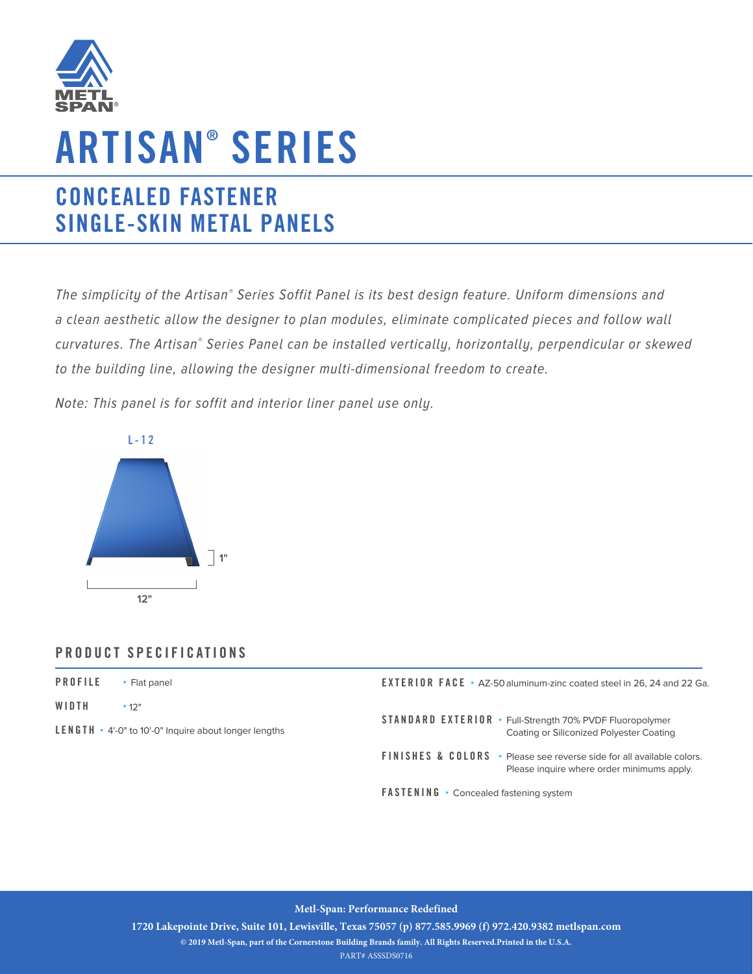

# **ARTISAN ® SERIES**

## **CONCEALED FASTENER SINGLE-SKIN METAL PANELS**

The simplicity of the Artisan® Series Soffit Panel is its best design feature. Uniform dimensions and a clean aesthetic allow the designer to plan modules, eliminate complicated pieces and follow wall curvatures. The Artisan® Series Panel can be installed vertically, horizontally, perpendicular or skewed to the building line, allowing the designer multi-dimensional freedom to create.

Note: This panel is for soffit and interior liner panel use only.



### **PRODUCT SPECIFICATIONS**

| <b>PROFILE</b><br>Flat panel                                       | <b>EXTERIOR FACE</b> • AZ-50 aluminum-zinc coated steel in 26, 24 and 22 Ga.                                                   |
|--------------------------------------------------------------------|--------------------------------------------------------------------------------------------------------------------------------|
| WIDTH<br>• 12"                                                     | <b>STANDARD EXTERIOR • Full-Strength 70% PVDF Fluoropolymer</b>                                                                |
| <b>LENGTH</b> $\cdot$ 4'-0" to 10'-0" Inquire about longer lengths | Coating or Siliconized Polyester Coating                                                                                       |
|                                                                    | <b>FINISHES &amp; COLORS</b> • Please see reverse side for all available colors.<br>Please inquire where order minimums apply. |

**FASTENING •** Concealed fastening system

#### **Metl-Span: Performance Redefined**

**1720 Lakepointe Drive, Suite 101, Lewisville, Texas 75057 (p) 877.585.9969 (f) 972.420.9382 metlspan.com** 

**© 2019 Metl-Span, part of the Cornerstone Building Brands family. All Rights Reserved.Printed in the U.S.A.**

PART# ASSSDS0716